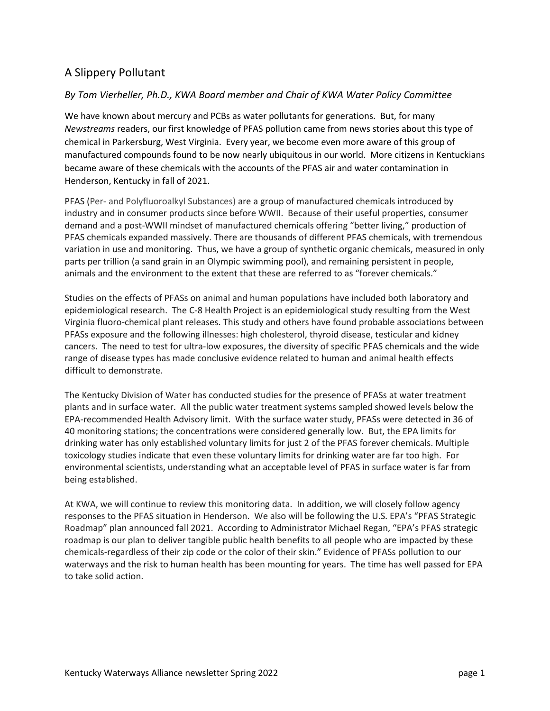## A Slippery Pollutant

## *By Tom Vierheller, Ph.D., KWA Board member and Chair of KWA Water Policy Committee*

We have known about mercury and PCBs as water pollutants for generations. But, for many *Newstreams* readers, our first knowledge of PFAS pollution came from news stories about this type of chemical in Parkersburg, West Virginia. Every year, we become even more aware of this group of manufactured compounds found to be now nearly ubiquitous in our world. More citizens in Kentuckians became aware of these chemicals with the accounts of the PFAS air and water contamination in Henderson, Kentucky in fall of 2021.

PFAS (Per- and Polyfluoroalkyl Substances) are a group of manufactured chemicals introduced by industry and in consumer products since before WWII. Because of their useful properties, consumer demand and a post-WWII mindset of manufactured chemicals offering "better living," production of PFAS chemicals expanded massively. There are thousands of different PFAS chemicals, with tremendous variation in use and monitoring. Thus, we have a group of synthetic organic chemicals, measured in only parts per trillion (a sand grain in an Olympic swimming pool), and remaining persistent in people, animals and the environment to the extent that these are referred to as "forever chemicals."

Studies on the effects of PFASs on animal and human populations have included both laboratory and epidemiological research. The C-8 Health Project is an epidemiological study resulting from the West Virginia fluoro-chemical plant releases. This study and others have found probable associations between PFASs exposure and the following illnesses: high cholesterol, thyroid disease, testicular and kidney cancers. The need to test for ultra-low exposures, the diversity of specific PFAS chemicals and the wide range of disease types has made conclusive evidence related to human and animal health effects difficult to demonstrate.

The Kentucky Division of Water has conducted studies for the presence of PFASs at water treatment plants and in surface water. All the public water treatment systems sampled showed levels below the EPA-recommended Health Advisory limit. With the surface water study, PFASs were detected in 36 of 40 monitoring stations; the concentrations were considered generally low. But, the EPA limits for drinking water has only established voluntary limits for just 2 of the PFAS forever chemicals. Multiple toxicology studies indicate that even these voluntary limits for drinking water are far too high. For environmental scientists, understanding what an acceptable level of PFAS in surface water is far from being established.

At KWA, we will continue to review this monitoring data. In addition, we will closely follow agency responses to the PFAS situation in Henderson. We also will be following the U.S. EPA's "PFAS Strategic Roadmap" plan announced fall 2021. According to Administrator Michael Regan, "EPA's PFAS strategic roadmap is our plan to deliver tangible public health benefits to all people who are impacted by these chemicals-regardless of their zip code or the color of their skin." Evidence of PFASs pollution to our waterways and the risk to human health has been mounting for years. The time has well passed for EPA to take solid action.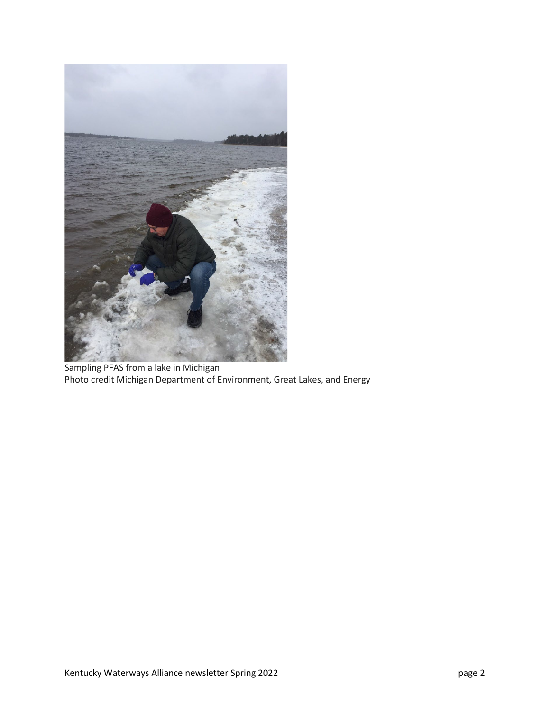

Sampling PFAS from a lake in Michigan Photo credit Michigan Department of Environment, Great Lakes, and Energy